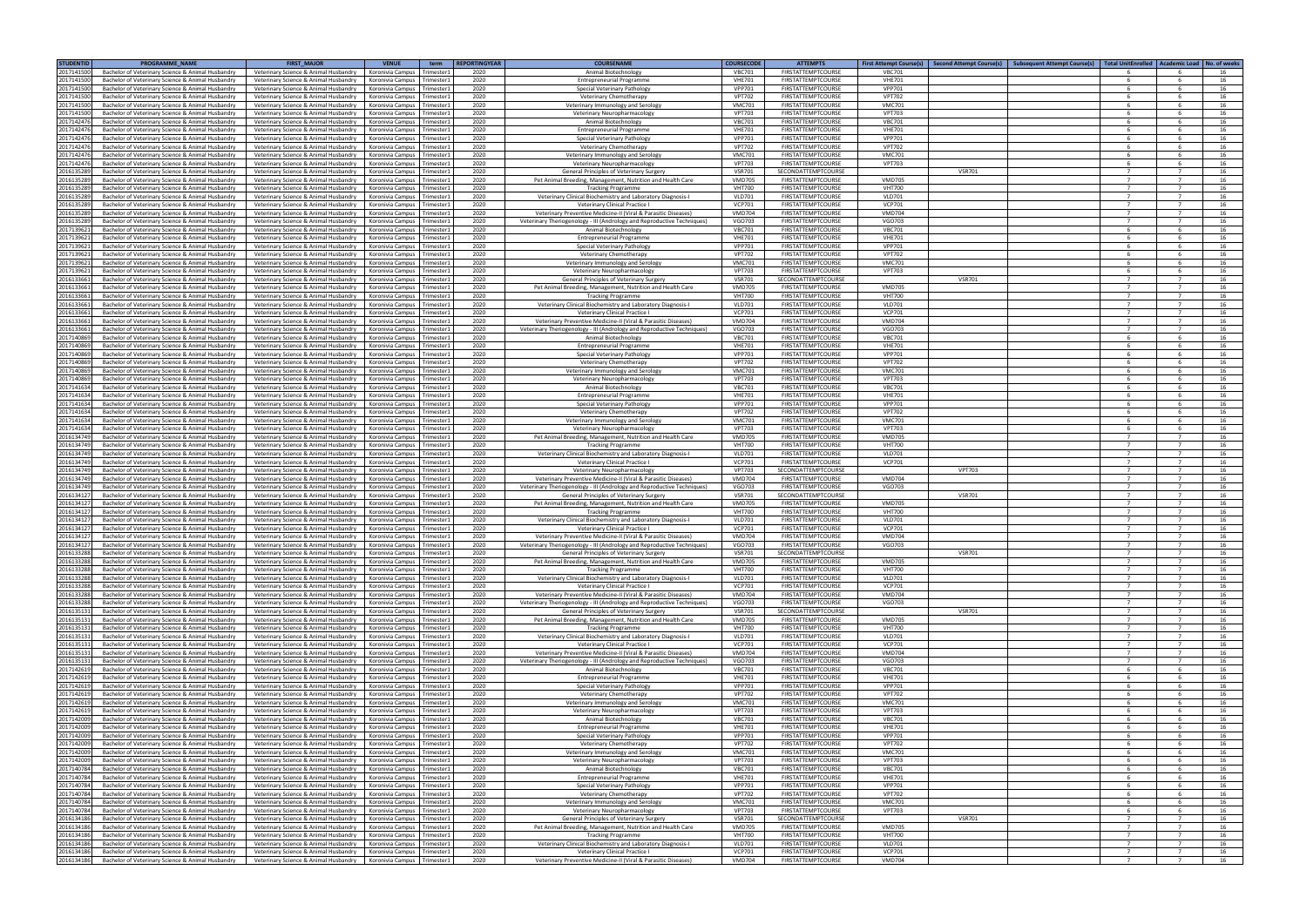| <b>STUDENTID</b>         | <b>PROGRAMME NAME</b>                                                                                  | <b>FIRST MAJOR</b>                                                             | <b>VENUE</b>                                               | term                     | <b>REPORTINGYEAR</b> | <b>COURSENAME</b>                                                                                                                         | <b>COURSECODE</b>              | <b>ATTEMPTS</b>                                        | First Attempt Course(s)   Second Attempt Course(s)   Subsequent Attempt Course(s)   Total UnitEnrolled   Academic Load   No. of weeks |                |                                  |          |
|--------------------------|--------------------------------------------------------------------------------------------------------|--------------------------------------------------------------------------------|------------------------------------------------------------|--------------------------|----------------------|-------------------------------------------------------------------------------------------------------------------------------------------|--------------------------------|--------------------------------------------------------|---------------------------------------------------------------------------------------------------------------------------------------|----------------|----------------------------------|----------|
| 2017141500               | Bachelor of Veterinary Science & Animal Husbandry                                                      | Veterinary Science & Animal Husbandry                                          | Koronivia Campus                                           | Trimester:               | 2020                 | Animal Biotechnology                                                                                                                      | <b>VBC701</b>                  | <b>FIRSTATTEMPTCOURSE</b>                              | <b>VBC701</b>                                                                                                                         |                |                                  |          |
| 2017141500               | Bachelor of Veterinary Science & Animal Husbandry                                                      | Veterinary Science & Animal Husbandry                                          | Koronivia Campus Trimester1                                |                          | 2020                 | <b>Entrepreneurial Programme</b>                                                                                                          | <b>VHE701</b>                  | FIRSTATTEMPTCOURSE                                     | <b>VHE701</b>                                                                                                                         |                |                                  | 16       |
| 201714150                | Bachelor of Veterinary Science & Animal Husbandry                                                      | Veterinary Science & Animal Husbandry                                          | Koronivia Campus                                           | Trimester:               | 2020                 | Special Veterinary Patholog                                                                                                               | <b>VPP701</b>                  | <b>FIRSTATTEMPTCOURSE</b>                              | <b>VPP701</b>                                                                                                                         |                |                                  | 16       |
| 2017141500<br>2017141500 | Bachelor of Veterinary Science & Animal Husbandry<br>Bachelor of Veterinary Science & Animal Husbandry | Veterinary Science & Animal Husbandry<br>Veterinary Science & Animal Husbandry | Koronivia Campus<br>Koronivia Campus                       | Trimester1<br>Trimester: | 2020<br>2020         | Veterinary Chemotherapy<br>Veterinary Immunology and Serolog                                                                              | <b>VPT702</b><br><b>VMC701</b> | <b>FIRSTATTEMPTCOURSE</b><br><b>FIRSTATTEMPTCOURSE</b> | <b>VPT702</b><br><b>VMC701</b>                                                                                                        |                |                                  | 16<br>16 |
| 201714150                | Bachelor of Veterinary Science & Animal Husbandry                                                      | Veterinary Science & Animal Husbandry                                          | Koronivia Campus                                           | Trimester:               | 2020                 | Veterinary Neuropharmacology                                                                                                              | <b>VPT703</b>                  | <b>FIRSTATTEMPTCOURSE</b>                              | <b>VPT703</b>                                                                                                                         |                |                                  | 16       |
| 201714247                | Bachelor of Veterinary Science & Animal Husbandry                                                      | Veterinary Science & Animal Husbandry                                          | Koronivia Campus                                           | Trimester                | 2020                 | Animal Biotechnology                                                                                                                      | <b>VBC701</b>                  | <b>FIRSTATTEMPTCOURSE</b>                              | <b>VBC701</b>                                                                                                                         |                |                                  | 16       |
| 201714247                | Bachelor of Veterinary Science & Animal Husbandry                                                      | Veterinary Science & Animal Husbandry                                          | Koronivia Campus                                           | Trimester1               | 2020                 | <b>Entrepreneurial Programme</b>                                                                                                          | <b>VHE701</b>                  | <b>FIRSTATTEMPTCOURSE</b>                              | <b>VHE701</b>                                                                                                                         |                |                                  | 16       |
| 201714247                | Bachelor of Veterinary Science & Animal Husbandry                                                      | Veterinary Science & Animal Husbandry                                          | Koronivia Campus                                           | Trimester1               | 2020                 | Special Veterinary Pathology                                                                                                              | <b>VPP701</b>                  | <b>FIRSTATTEMPTCOURSE</b>                              | <b>VPP701</b>                                                                                                                         |                |                                  | 16       |
| 201714247                | Bachelor of Veterinary Science & Animal Husbandry                                                      | Veterinary Science & Animal Husbandry                                          | Koronivia Campus                                           | Trimester1               | 2020                 | Veterinary Chemotherapy                                                                                                                   | <b>VPT702</b>                  | FIRSTATTEMPTCOURSE                                     | <b>VPT702</b>                                                                                                                         |                |                                  | 16       |
| 201714247                | Bachelor of Veterinary Science & Animal Husbandry                                                      | Veterinary Science & Animal Husbandry                                          | Koronivia Campus                                           | Trimester1               | 2020                 | Veterinary Immunology and Serology                                                                                                        | <b>VMC701</b>                  | <b>FIRSTATTEMPTCOURSE</b>                              | <b>VMC701</b>                                                                                                                         |                |                                  | 16       |
| 201714247                | Bachelor of Veterinary Science & Animal Husbandry                                                      | Veterinary Science & Animal Husbandry                                          | Koronivia Campus                                           | Trimester:               | 2020                 | Veterinary Neuropharmacology                                                                                                              | <b>VPT703</b>                  | <b>FIRSTATTEMPTCOURSE</b>                              | <b>VPT703</b>                                                                                                                         | -6             | -6                               | 16       |
| 201613528                | Bachelor of Veterinary Science & Animal Husbandry                                                      | Veterinary Science & Animal Husbandry                                          | Koronivia Campus Trimester:                                |                          | 2020                 | General Principles of Veterinary Surgery                                                                                                  | <b>VSR701</b>                  | <b>SECONDATTEMPTCOURSE</b>                             | <b>VSR701</b>                                                                                                                         |                |                                  | 16       |
| 201613528<br>201613528   | Bachelor of Veterinary Science & Animal Husbandry<br>Bachelor of Veterinary Science & Animal Husbandry | Veterinary Science & Animal Husbandry<br>Veterinary Science & Animal Husbandry | Koronivia Campus<br>Koronivia Campus                       | Trimester1<br>Trimester1 | 2020<br>2020         | Pet Animal Breeding, Management, Nutrition and Health Care<br><b>Tracking Programme</b>                                                   | <b>VMD705</b><br><b>VHT700</b> | FIRSTATTEMPTCOURSE<br><b>FIRSTATTEMPTCOURSE</b>        | <b>VMD705</b><br><b>VHT700</b>                                                                                                        |                |                                  | 16<br>16 |
| 201613528                | Bachelor of Veterinary Science & Animal Husbandry                                                      | Veterinary Science & Animal Husbandry                                          | Koronivia Campus                                           | Trimester1               | 2020                 | Veterinary Clinical Biochemistry and Laboratory Diagnosis-I                                                                               | <b>VLD701</b>                  | <b>FIRSTATTEMPTCOURSE</b>                              | <b>VLD701</b>                                                                                                                         | $\overline{7}$ | $\overline{7}$                   | 16       |
| 201613528                | Bachelor of Veterinary Science & Animal Husbandry                                                      | Veterinary Science & Animal Husbandry                                          | Koronivia Campus                                           | Trimester1               | 2020                 | Veterinary Clinical Practice I                                                                                                            | <b>VCP701</b>                  | FIRSTATTEMPTCOURSE                                     | <b>VCP701</b>                                                                                                                         |                |                                  | 16       |
| 201613528                | Bachelor of Veterinary Science & Animal Husbandry                                                      | Veterinary Science & Animal Husbandry                                          | Koronivia Campus                                           | Trimester1               | 2020                 | Veterinary Preventive Medicine-II (Viral & Parasitic Diseases)                                                                            | <b>VMD704</b>                  | <b>FIRSTATTEMPTCOURSE</b>                              | <b>VMD704</b>                                                                                                                         |                |                                  | 16       |
| 201613528                | Bachelor of Veterinary Science & Animal Husbandry                                                      | Veterinary Science & Animal Husbandry                                          | Koronivia Campus Trimester1                                |                          | 2020                 | Veterinary Theriogenology - III (Andrology and Reproductive Techniques)                                                                   | VGO703                         | <b>FIRSTATTEMPTCOURSE</b>                              | VGO703                                                                                                                                | $\overline{7}$ | $\overline{7}$                   | 16       |
| 201713962                | Bachelor of Veterinary Science & Animal Husbandry                                                      | Veterinary Science & Animal Husbandry                                          | Koronivia Campus                                           | Trimester1               | 2020                 | Animal Biotechnology                                                                                                                      | <b>VBC701</b>                  | <b>FIRSTATTEMPTCOURSE</b>                              | <b>VBC701</b>                                                                                                                         |                |                                  | 16       |
| 201713962                | Bachelor of Veterinary Science & Animal Husbandry                                                      | Veterinary Science & Animal Husbandry                                          | Koronivia Campus Trimester1                                |                          | 2020                 | <b>Entrepreneurial Programme</b>                                                                                                          | <b>VHE701</b>                  | FIRSTATTEMPTCOURSE                                     | <b>VHE701</b>                                                                                                                         |                |                                  | 16       |
| 201713962                | Bachelor of Veterinary Science & Animal Husbandry                                                      | Veterinary Science & Animal Husbandry                                          | Koronivia Campus                                           | Trimester1               | 2020                 | Special Veterinary Pathology                                                                                                              | <b>VPP701</b><br><b>VPT702</b> | <b>FIRSTATTEMPTCOURSE</b><br><b>FIRSTATTEMPTCOURSE</b> | <b>VPP701</b><br><b>VPT702</b>                                                                                                        | -6             |                                  | 16       |
| 201713962<br>201713962   | Bachelor of Veterinary Science & Animal Husbandry<br>Bachelor of Veterinary Science & Animal Husbandry | Veterinary Science & Animal Husbandry<br>Veterinary Science & Animal Husbandry | Koronivia Campus<br>Koronivia Campus                       | Trimester:<br>Trimester: | 2020<br>2020         | Veterinary Chemotherapy<br>Veterinary Immunology and Serology                                                                             | <b>VMC701</b>                  | <b>FIRSTATTEMPTCOURSE</b>                              | <b>VMC701</b>                                                                                                                         |                |                                  | 16<br>16 |
| 201713962                | Bachelor of Veterinary Science & Animal Husbandry                                                      | Veterinary Science & Animal Husbandry                                          | Koronivia Campus Trimester1                                |                          | 2020                 | Veterinary Neuropharmacology                                                                                                              | <b>VPT703</b>                  | <b>FIRSTATTEMPTCOURSE</b>                              | <b>VPT703</b>                                                                                                                         | - 6            |                                  | 16       |
| 201613366                | Bachelor of Veterinary Science & Animal Husbandry                                                      | Veterinary Science & Animal Husbandry                                          | Koronivia Campus                                           | Trimester:               | 2020                 | General Principles of Veterinary Surgery                                                                                                  | <b>VSR701</b>                  | SECONDATTEMPTCOURSE                                    | <b>VSR701</b>                                                                                                                         |                |                                  | 16       |
| 201613366                | Bachelor of Veterinary Science & Animal Husbandry                                                      | Veterinary Science & Animal Husbandry                                          | Koronivia Campus                                           | Trimester1               | 2020                 | Pet Animal Breeding, Management, Nutrition and Health Care                                                                                | <b>VMD705</b>                  | <b>FIRSTATTEMPTCOURSE</b>                              | <b>VMD705</b>                                                                                                                         |                |                                  | 16       |
| 201613366                | Bachelor of Veterinary Science & Animal Husbandry                                                      | Veterinary Science & Animal Husbandry                                          | Koronivia Campus                                           | Trimester:               | 2020                 | <b>Tracking Programme</b>                                                                                                                 | <b>VHT700</b>                  | <b>FIRSTATTEMPTCOURSE</b>                              | <b>VHT700</b>                                                                                                                         |                |                                  | 16       |
| 201613366                | Bachelor of Veterinary Science & Animal Husbandry                                                      | Veterinary Science & Animal Husbandry                                          | Koronivia Campus                                           | Trimester1               | 2020                 | Veterinary Clinical Biochemistry and Laboratory Diagnosis-I                                                                               | <b>VLD701</b>                  | <b>FIRSTATTEMPTCOURSE</b>                              | <b>VLD701</b>                                                                                                                         |                |                                  | 16       |
| 201613366                | Bachelor of Veterinary Science & Animal Husbandry                                                      | Veterinary Science & Animal Husbandry                                          | Koronivia Campus                                           | Trimester:               | 2020                 | Veterinary Clinical Practice I                                                                                                            | <b>VCP701</b>                  | <b>FIRSTATTEMPTCOURSE</b>                              | <b>VCP701</b>                                                                                                                         |                |                                  | 16       |
| 201613366                | Bachelor of Veterinary Science & Animal Husbandry                                                      | Veterinary Science & Animal Husbandry                                          | Koronivia Campus<br>Koronivia Campus                       | Trimester1               | 2020                 | Veterinary Preventive Medicine-II (Viral & Parasitic Diseases                                                                             | <b>VMD704</b>                  | <b>FIRSTATTEMPTCOURSE</b><br><b>FIRSTATTEMPTCOURSE</b> | <b>VMD704</b>                                                                                                                         |                | $\overline{7}$                   | 16       |
| 201613366<br>201714086   | Bachelor of Veterinary Science & Animal Husbandry<br>Bachelor of Veterinary Science & Animal Husbandry | Veterinary Science & Animal Husbandry<br>Veterinary Science & Animal Husbandry | Koronivia Campus                                           | Trimester1<br>Trimester1 | 2020<br>2020         | Veterinary Theriogenology - III (Andrology and Reproductive Techniques)<br>Animal Biotechnology                                           | <b>VGO703</b><br><b>VBC701</b> | FIRSTATTEMPTCOURSE                                     | VGO703<br><b>VBC701</b>                                                                                                               |                |                                  | 16<br>16 |
| 201714086                | Bachelor of Veterinary Science & Animal Husbandry                                                      | Veterinary Science & Animal Husbandry                                          | Koronivia Campus                                           | Trimester1               | 2020                 | <b>Entrepreneurial Programme</b>                                                                                                          | <b>VHE701</b>                  | FIRSTATTEMPTCOURSE                                     | <b>VHE701</b>                                                                                                                         |                |                                  | 16       |
| 201714086                | Bachelor of Veterinary Science & Animal Husbandry                                                      | Veterinary Science & Animal Husbandry                                          | Koronivia Campus                                           | Trimester:               | 2020                 | Special Veterinary Pathology                                                                                                              | <b>VPP701</b>                  | <b>FIRSTATTEMPTCOURSE</b>                              | <b>VPP701</b>                                                                                                                         |                | -6                               | 16       |
| 201714086                | Bachelor of Veterinary Science & Animal Husbandry                                                      | Veterinary Science & Animal Husbandry                                          | Koronivia Campus Trimester:                                |                          | 2020                 | Veterinary Chemotherapy                                                                                                                   | <b>VPT702</b>                  | <b>FIRSTATTEMPTCOURSE</b>                              | <b>VPT702</b>                                                                                                                         |                |                                  | 16       |
| 201714086                | Bachelor of Veterinary Science & Animal Husbandry                                                      | Veterinary Science & Animal Husbandry                                          | Koronivia Campus                                           | Trimester1               | 2020                 | Veterinary Immunology and Serology                                                                                                        | <b>VMC701</b>                  | <b>FIRSTATTEMPTCOURSE</b>                              | <b>VMC701</b>                                                                                                                         |                |                                  | 16       |
| 201714086                | Bachelor of Veterinary Science & Animal Husbandry                                                      | Veterinary Science & Animal Husbandry                                          | Koronivia Campus                                           | Trimester1               | 2020                 | Veterinary Neuropharmacology                                                                                                              | <b>VPT703</b>                  | <b>FIRSTATTEMPTCOURSE</b>                              | <b>VPT703</b>                                                                                                                         |                |                                  | 16       |
| 201714163                | Bachelor of Veterinary Science & Animal Husbandry                                                      | Veterinary Science & Animal Husbandry                                          | Koronivia Campus                                           | Trimester1               | 2020                 | Animal Biotechnology                                                                                                                      | <b>VBC701</b>                  | FIRSTATTEMPTCOURSE                                     | <b>VBC701</b>                                                                                                                         | - 6            | -6                               | 16       |
| 201714163                | Bachelor of Veterinary Science & Animal Husbandry                                                      | Veterinary Science & Animal Husbandry                                          | Koronivia Campus Trimester1                                |                          | 2020                 | <b>Entrepreneurial Programme</b>                                                                                                          | <b>VHE701</b>                  | FIRSTATTEMPTCOURSE                                     | <b>VHE701</b>                                                                                                                         |                | -6                               | 16       |
| 201714163<br>201714163   | Bachelor of Veterinary Science & Animal Husbandry<br>Bachelor of Veterinary Science & Animal Husbandry | Veterinary Science & Animal Husbandry<br>Veterinary Science & Animal Husbandry | Koronivia Campus<br>Koronivia Campus Trimester1            | Trimester1               | 2020<br>2020         | Special Veterinary Pathology<br>Veterinary Chemotherapy                                                                                   | <b>VPP701</b><br><b>VPT702</b> | <b>FIRSTATTEMPTCOURSE</b><br><b>FIRSTATTEMPTCOURSE</b> | <b>VPP701</b><br><b>VPT702</b>                                                                                                        |                |                                  | 16<br>16 |
| 201714163                | Bachelor of Veterinary Science & Animal Husbandry                                                      | Veterinary Science & Animal Husbandry                                          | Koronivia Campus                                           | Trimester1               | 2020                 | Veterinary Immunology and Serology                                                                                                        | <b>VMC701</b>                  | <b>FIRSTATTEMPTCOURSE</b>                              | <b>VMC701</b>                                                                                                                         |                |                                  | 16       |
| 201714163                | Bachelor of Veterinary Science & Animal Husbandry                                                      | Veterinary Science & Animal Husbandry                                          | Koronivia Campus Trimester1                                |                          | 2020                 | Veterinary Neuropharmacology                                                                                                              | <b>VPT703</b>                  | FIRSTATTEMPTCOURSE                                     | <b>VPT703</b>                                                                                                                         |                |                                  | 16       |
| 201613474                | Bachelor of Veterinary Science & Animal Husbandry                                                      | Veterinary Science & Animal Husbandry                                          | Koronivia Campus                                           | Trimester1               | 2020                 | Pet Animal Breeding, Management, Nutrition and Health Care                                                                                | <b>VMD705</b>                  | <b>FIRSTATTEMPTCOURSE</b>                              | <b>VMD705</b>                                                                                                                         |                | $\overline{7}$                   | 16       |
| 201613474                | Bachelor of Veterinary Science & Animal Husbandry                                                      | Veterinary Science & Animal Husbandry                                          | Koronivia Campus                                           | Trimester:               | 2020                 | <b>Tracking Programme</b>                                                                                                                 | <b>VHT700</b>                  | <b>FIRSTATTEMPTCOURSE</b>                              | <b>VHT700</b>                                                                                                                         |                | $\overline{7}$                   | 16       |
| 201613474                | Bachelor of Veterinary Science & Animal Husbandry                                                      | Veterinary Science & Animal Husbandry                                          | Koronivia Campus                                           | Trimester:               | 2020                 | Veterinary Clinical Biochemistry and Laboratory Diagnosis-I                                                                               | <b>VLD701</b>                  | <b>FIRSTATTEMPTCOURSE</b>                              | <b>VLD701</b>                                                                                                                         |                |                                  | 16       |
| 201613474                | Bachelor of Veterinary Science & Animal Husbandry                                                      | Veterinary Science & Animal Husbandry                                          | Koronivia Campus                                           | Trimester1               | 2020                 | Veterinary Clinical Practice I                                                                                                            | <b>VCP701</b>                  | <b>FIRSTATTEMPTCOURSE</b>                              | <b>VCP701</b>                                                                                                                         |                |                                  | 16       |
| 201613474                | Bachelor of Veterinary Science & Animal Husbandry                                                      | Veterinary Science & Animal Husbandry                                          | Koronivia Campus                                           | Trimester:               | 2020                 | Veterinary Neuropharmacology                                                                                                              | <b>VPT703</b>                  | SECONDATTEMPTCOURSE                                    | <b>VPT703</b>                                                                                                                         |                | $\overline{7}$                   | 16       |
| 201613474<br>201613474   | Bachelor of Veterinary Science & Animal Husbandry<br>Bachelor of Veterinary Science & Animal Husbandry | Veterinary Science & Animal Husbandry<br>Veterinary Science & Animal Husbandry | Koronivia Campus<br>Koronivia Campus                       | Trimester1<br>Trimester1 | 2020<br>2020         | Veterinary Preventive Medicine-II (Viral & Parasitic Diseases)<br>Veterinary Theriogenology - III (Andrology and Reproductive Techniques) | <b>VMD704</b><br><b>VGO703</b> | FIRSTATTEMPTCOURSE<br><b>FIRSTATTEMPTCOURSE</b>        | <b>VMD704</b><br>VGO703                                                                                                               |                |                                  | 16<br>16 |
| 201613412                | Bachelor of Veterinary Science & Animal Husbandry                                                      | Veterinary Science & Animal Husbandry                                          | Koronivia Campus                                           | Trimester1               | 2020                 | General Principles of Veterinary Surgery                                                                                                  | <b>VSR701</b>                  | SECONDATTEMPTCOURSE                                    | <b>VSR701</b>                                                                                                                         | $\overline{7}$ | 7                                | 16       |
| 201613412                | Bachelor of Veterinary Science & Animal Husbandry                                                      | Veterinary Science & Animal Husbandry                                          | Koronivia Campus                                           | Trimester:               | 2020                 | Pet Animal Breeding, Management, Nutrition and Health Care                                                                                | <b>VMD705</b>                  | <b>FIRSTATTEMPTCOURSE</b>                              | <b>VMD705</b>                                                                                                                         |                |                                  | 16       |
| 201613412                | Bachelor of Veterinary Science & Animal Husbandry                                                      | Veterinary Science & Animal Husbandry                                          | Koronivia Campus                                           | Trimester:               | 2020                 | <b>Tracking Programme</b>                                                                                                                 | <b>VHT700</b>                  | <b>FIRSTATTEMPTCOURSE</b>                              | <b>VHT700</b>                                                                                                                         |                | $\overline{7}$                   | 16       |
| 201613412                | Bachelor of Veterinary Science & Animal Husbandry                                                      | Veterinary Science & Animal Husbandry                                          | Koronivia Campus Trimester1                                |                          | 2020                 | Veterinary Clinical Biochemistry and Laboratory Diagnosis-I                                                                               | <b>VLD701</b>                  | <b>FIRSTATTEMPTCOURSE</b>                              | <b>VLD701</b>                                                                                                                         |                |                                  | 16       |
| 201613412                | Bachelor of Veterinary Science & Animal Husbandry                                                      | Veterinary Science & Animal Husbandry                                          | Koronivia Campus                                           | Trimester:               | 2020                 | Veterinary Clinical Practice I                                                                                                            | <b>VCP701</b>                  | <b>FIRSTATTEMPTCOURSE</b>                              | <b>VCP701</b>                                                                                                                         |                |                                  | 16       |
| 201613412                | Bachelor of Veterinary Science & Animal Husbandry                                                      | Veterinary Science & Animal Husbandry                                          | Koronivia Campus                                           | Trimester                | 2020                 | Veterinary Preventive Medicine-II (Viral & Parasitic Diseases)                                                                            | <b>VMD704</b>                  | <b>FIRSTATTEMPTCOURSE</b>                              | <b>VMD704</b>                                                                                                                         |                |                                  | 16       |
| 2016134127<br>2016133288 | Bachelor of Veterinary Science & Animal Husbandry<br>Bachelor of Veterinary Science & Animal Husbandry | Veterinary Science & Animal Husbandry<br>Veterinary Science & Animal Husbandry | Koronivia Campus Trimester1<br>Koronivia Campus Trimester1 |                          | 2020<br>2020         | Veterinary Theriogenology - III (Andrology and Reproductive Techniques)<br>General Principles of Veterinary Surgery                       | <b>VGO703</b><br><b>VSR701</b> | <b>FIRSTATTEMPTCOURSE</b><br>SECONDATTEMPTCOURSE       | <b>VGO703</b><br><b>VSR701</b>                                                                                                        |                | $\overline{7}$                   | 16<br>16 |
| 2016133288               | Bachelor of Veterinary Science & Animal Husbandry                                                      | Veterinary Science & Animal Husbandry                                          | Koronivia Campus                                           | Trimester1               | 2020                 | Pet Animal Breeding, Management, Nutrition and Health Care                                                                                | <b>VMD705</b>                  | <b>FIRSTATTEMPTCOURSE</b>                              | <b>VMD705</b>                                                                                                                         | $\overline{7}$ |                                  | 16       |
| 2016133288               | Bachelor of Veterinary Science & Animal Husbandry                                                      | Veterinary Science & Animal Husbandry                                          | Koronivia Campus Trimester1                                |                          | 2020                 | <b>Tracking Programme</b>                                                                                                                 | <b>VHT700</b>                  | <b>FIRSTATTEMPTCOURSE</b>                              | <b>VHT700</b>                                                                                                                         | $\overline{7}$ | $\overline{7}$                   | 16       |
| 201613328                | Bachelor of Veterinary Science & Animal Husbandry                                                      | Veterinary Science & Animal Husbandry                                          | Koronivia Campus                                           | Trimester1               | 2020                 | Veterinary Clinical Biochemistry and Laboratory Diagnosis-I                                                                               | <b>VLD701</b>                  | <b>FIRSTATTEMPTCOURSE</b>                              | <b>VLD701</b>                                                                                                                         |                | $\overline{7}$                   | 16       |
| 2016133288               | Bachelor of Veterinary Science & Animal Husbandry                                                      | Veterinary Science & Animal Husbandry                                          | Koronivia Campus Trimester1                                |                          | 2020                 | Veterinary Clinical Practice I                                                                                                            | <b>VCP701</b>                  | <b>FIRSTATTEMPTCOURSE</b>                              | <b>VCP701</b>                                                                                                                         |                | $\overline{7}$                   | 16       |
| 201613328                | Bachelor of Veterinary Science & Animal Husbandry                                                      | Veterinary Science & Animal Husbandry                                          | Koronivia Campus                                           | Trimester1               | 2020                 | Veterinary Preventive Medicine-II (Viral & Parasitic Diseases)                                                                            | <b>VMD704</b>                  | FIRSTATTEMPTCOURSE                                     | <b>VMD704</b>                                                                                                                         | $\overline{7}$ | $\overline{7}$                   | 16       |
| 201613328                | Bachelor of Veterinary Science & Animal Husbandry                                                      | Veterinary Science & Animal Husbandry                                          | Koronivia Campus                                           | Trimester1               | 2020                 | Veterinary Theriogenology - III (Andrology and Reproductive Techniques)                                                                   | <b>VGO703</b>                  | <b>FIRSTATTEMPTCOURSE</b>                              | VGO703                                                                                                                                |                |                                  | 16       |
| 201613513<br>201613513   | Bachelor of Veterinary Science & Animal Husbandry<br>Bachelor of Veterinary Science & Animal Husbandry | Veterinary Science & Animal Husbandry<br>Veterinary Science & Animal Husbandry | Koronivia Campus<br>Koronivia Campus Trimester1            | Trimester1               | 2020<br>2020         | General Principles of Veterinary Surgery<br>Pet Animal Breeding, Management, Nutrition and Health Care                                    | <b>VSR701</b><br><b>VMD705</b> | SECONDATTEMPTCOURSE<br><b>FIRSTATTEMPTCOURSE</b>       | <b>VSR701</b><br><b>VMD705</b>                                                                                                        | $\overline{7}$ | $\overline{7}$<br>$\overline{7}$ | 16<br>16 |
| 201613513                | Bachelor of Veterinary Science & Animal Husbandry                                                      | Veterinary Science & Animal Husbandry                                          | Koronivia Campus                                           | Trimester1               | 2020                 | <b>Tracking Programme</b>                                                                                                                 | <b>VHT700</b>                  | <b>FIRSTATTEMPTCOURSE</b>                              | <b>VHT700</b>                                                                                                                         |                |                                  | 16       |
| 201613513                | Bachelor of Veterinary Science & Animal Husbandry                                                      | Veterinary Science & Animal Husbandry                                          | Koronivia Campus Trimester1                                |                          | 2020                 | Veterinary Clinical Biochemistry and Laboratory Diagnosis-I                                                                               | <b>VLD701</b>                  | <b>FIRSTATTEMPTCOURSE</b>                              | <b>VLD701</b>                                                                                                                         |                | $\overline{7}$                   | 16       |
| 201613513                | Bachelor of Veterinary Science & Animal Husbandry                                                      | Veterinary Science & Animal Husbandry                                          | Koronivia Campus                                           | Trimester1               | 2020                 | Veterinary Clinical Practice I                                                                                                            | <b>VCP701</b>                  | <b>FIRSTATTEMPTCOURSE</b>                              | <b>VCP701</b>                                                                                                                         | $\overline{7}$ | $\overline{7}$                   | 16       |
| 201613513                | Bachelor of Veterinary Science & Animal Husbandry                                                      | Veterinary Science & Animal Husbandry                                          | Koronivia Campus                                           | Trimester1               | 2020                 | Veterinary Preventive Medicine-II (Viral & Parasitic Diseases)                                                                            | <b>VMD704</b>                  | <b>FIRSTATTEMPTCOURSE</b>                              | <b>VMD704</b>                                                                                                                         |                |                                  | 16       |
| 201613513                | Bachelor of Veterinary Science & Animal Husbandry                                                      | Veterinary Science & Animal Husbandry                                          | Koronivia Campus                                           | Trimester1               | 2020                 | Veterinary Theriogenology - III (Andrology and Reproductive Techniques)                                                                   | VGO703                         | <b>FIRSTATTEMPTCOURSE</b>                              | VGO703                                                                                                                                |                | $\overline{7}$                   | 16       |
| 201714261                | Bachelor of Veterinary Science & Animal Husbandry                                                      | Veterinary Science & Animal Husbandry                                          | Koronivia Campus Trimester1                                |                          | 2020                 | Animal Biotechnology                                                                                                                      | <b>VBC701</b>                  | <b>FIRSTATTEMPTCOURSE</b>                              | <b>VBC701</b>                                                                                                                         | -6             | -6                               | 16       |
| 201714261<br>201714261   | Bachelor of Veterinary Science & Animal Husbandry<br>Bachelor of Veterinary Science & Animal Husbandry | Veterinary Science & Animal Husbandry<br>Veterinary Science & Animal Husbandry | Koronivia Campus<br>Koronivia Campus                       | Trimester1<br>Trimester1 | 2020<br>2020         | <b>Entrepreneurial Programme</b><br>Special Veterinary Pathology                                                                          | <b>VHE701</b><br><b>VPP701</b> | FIRSTATTEMPTCOURSE<br><b>FIRSTATTEMPTCOURSE</b>        | <b>VHE701</b><br><b>VPP701</b>                                                                                                        | - 6            |                                  | 16<br>16 |
| 201714261                | Bachelor of Veterinary Science & Animal Husbandry                                                      | Veterinary Science & Animal Husbandry                                          | Koronivia Campus                                           | Trimester1               | 2020                 | Veterinary Chemotherapy                                                                                                                   | <b>VPT702</b>                  | FIRSTATTEMPTCOURSE                                     | <b>VPT702</b>                                                                                                                         |                |                                  | 16       |
| 201714261                | Bachelor of Veterinary Science & Animal Husbandry                                                      | Veterinary Science & Animal Husbandry                                          | Koronivia Campus                                           | Trimester1               | 2020                 | Veterinary Immunology and Serology                                                                                                        | <b>VMC701</b>                  | <b>FIRSTATTEMPTCOURSE</b>                              | <b>VMC701</b>                                                                                                                         |                |                                  | 16       |
| 201714261                | Bachelor of Veterinary Science & Animal Husbandry                                                      | Veterinary Science & Animal Husbandry                                          | Koronivia Campus Trimester1                                |                          | 2020                 | Veterinary Neuropharmacology                                                                                                              | <b>VPT703</b>                  | FIRSTATTEMPTCOURSE                                     | <b>VPT703</b>                                                                                                                         |                |                                  | 16       |
| 201714200                | Bachelor of Veterinary Science & Animal Husbandry                                                      | Veterinary Science & Animal Husbandry                                          | Koronivia Campus                                           | Trimester1               | 2020                 | Animal Biotechnology                                                                                                                      | <b>VBC701</b>                  | FIRSTATTEMPTCOURSE                                     | <b>VBC701</b>                                                                                                                         | - 6            |                                  | 16       |
| 201714200                | Bachelor of Veterinary Science & Animal Husbandry                                                      | Veterinary Science & Animal Husbandry                                          | Koronivia Campus Trimester1                                |                          | 2020                 | Entrepreneurial Programme                                                                                                                 | <b>VHE701</b>                  | FIRSTATTEMPTCOURSE                                     | <b>VHE701</b>                                                                                                                         |                | -6                               | 16       |
| 2017142009               | Bachelor of Veterinary Science & Animal Husbandry                                                      | Veterinary Science & Animal Husbandry                                          | Koronivia Campus                                           | Trimester1               | 2020                 | Special Veterinary Pathology                                                                                                              | <b>VPP701</b>                  | FIRSTATTEMPTCOURSE                                     | <b>VPP701</b>                                                                                                                         | - 6            | -6                               | 16       |
| 201714200<br>201714200   | Bachelor of Veterinary Science & Animal Husbandry<br>Bachelor of Veterinary Science & Animal Husbandry | Veterinary Science & Animal Husbandry<br>Veterinary Science & Animal Husbandry | Koronivia Campus Trimester1<br>Koronivia Campus            | Trimester1               | 2020<br>2020         | Veterinary Chemotherapy<br>Veterinary Immunology and Serology                                                                             | <b>VPT702</b><br><b>VMC701</b> | <b>FIRSTATTEMPTCOURSE</b><br><b>FIRSTATTEMPTCOURSE</b> | <b>VPT702</b><br><b>VMC701</b>                                                                                                        | -6             | -6                               | 16<br>16 |
| 2017142009               | Bachelor of Veterinary Science & Animal Husbandry                                                      | Veterinary Science & Animal Husbandry                                          | Koronivia Campus   Trimester1                              |                          | 2020                 | Veterinary Neuropharmacology                                                                                                              | <b>VPT703</b>                  | <b>FIRSTATTEMPTCOURSE</b>                              | <b>VPT703</b>                                                                                                                         |                | -6                               | 16       |
| 201714078                | Bachelor of Veterinary Science & Animal Husbandry                                                      | Veterinary Science & Animal Husbandry                                          | Koronivia Campus                                           | Trimester1               | 2020                 | Animal Biotechnology                                                                                                                      | <b>VBC701</b>                  | <b>FIRSTATTEMPTCOURSE</b>                              | <b>VBC701</b>                                                                                                                         | -6             |                                  | 16       |
| 201714078                | Bachelor of Veterinary Science & Animal Husbandry                                                      | Veterinary Science & Animal Husbandry                                          | Koronivia Campus Trimester1                                |                          | 2020                 | <b>Entrepreneurial Programme</b>                                                                                                          | <b>VHE701</b>                  | <b>FIRSTATTEMPTCOURSE</b>                              | <b>VHE701</b>                                                                                                                         |                | -6                               | 16       |
| 201714078                | Bachelor of Veterinary Science & Animal Husbandry                                                      | Veterinary Science & Animal Husbandry                                          | Koronivia Campus                                           | Trimester1               | 2020                 | Special Veterinary Pathology                                                                                                              | <b>VPP701</b>                  | FIRSTATTEMPTCOURSE                                     | <b>VPP701</b>                                                                                                                         | - 6            | - 6                              | 16       |
| 201714078                | Bachelor of Veterinary Science & Animal Husbandry                                                      | Veterinary Science & Animal Husbandry                                          | Koronivia Campus                                           | Trimester1               | 2020                 | Veterinary Chemotherapy                                                                                                                   | <b>VPT702</b>                  | <b>FIRSTATTEMPTCOURSE</b>                              | <b>VPT702</b>                                                                                                                         |                | -6                               | 16       |
| 201714078                | Bachelor of Veterinary Science & Animal Husbandry                                                      | Veterinary Science & Animal Husbandry                                          | Koronivia Campus                                           | Trimester1               | 2020<br>2020         | Veterinary Immunology and Serology                                                                                                        | <b>VMC701</b><br><b>VPT703</b> | <b>FIRSTATTEMPTCOURSE</b>                              | <b>VMC701</b>                                                                                                                         |                | -6                               | 16<br>16 |
| 201714078<br>201613418   | Bachelor of Veterinary Science & Animal Husbandry<br>Bachelor of Veterinary Science & Animal Husbandry | Veterinary Science & Animal Husbandry<br>Veterinary Science & Animal Husbandry | Koronivia Campus Trimester1<br>Koronivia Campus            | Trimester1               | 2020                 | Veterinary Neuropharmacology<br>General Principles of Veterinary Surgery                                                                  | <b>VSR701</b>                  | <b>FIRSTATTEMPTCOURSE</b><br>SECONDATTEMPTCOURSE       | <b>VPT703</b><br><b>VSR701</b>                                                                                                        | $\overline{7}$ | $\overline{7}$                   | 16       |
| 201613418                | Bachelor of Veterinary Science & Animal Husbandry                                                      | Veterinary Science & Animal Husbandry                                          | Koronivia Campus Trimester1                                |                          | 2020                 | Pet Animal Breeding, Management, Nutrition and Health Care                                                                                | <b>VMD705</b>                  | <b>FIRSTATTEMPTCOURSE</b>                              | <b>VMD705</b>                                                                                                                         |                |                                  | 16       |
| 201613418                | Bachelor of Veterinary Science & Animal Husbandry                                                      | Veterinary Science & Animal Husbandry                                          | Koronivia Campus                                           | Trimester1               | 2020                 | <b>Tracking Programme</b>                                                                                                                 | <b>VHT700</b>                  | FIRSTATTEMPTCOURSE                                     | <b>VHT700</b>                                                                                                                         |                | $\overline{7}$                   | 16       |
| 201613418                | Bachelor of Veterinary Science & Animal Husbandry                                                      | Veterinary Science & Animal Husbandry                                          | Koronivia Campus                                           | Trimester1               | 2020                 | Veterinary Clinical Biochemistry and Laboratory Diagnosis-I                                                                               | <b>VLD701</b>                  | <b>FIRSTATTEMPTCOURSE</b>                              | <b>VLD701</b>                                                                                                                         |                |                                  | 16       |
| 201613418                | Bachelor of Veterinary Science & Animal Husbandry                                                      | Veterinary Science & Animal Husbandry                                          | Koronivia Campus                                           | Trimester1               | 2020                 | Veterinary Clinical Practice I                                                                                                            | <b>VCP701</b>                  | <b>FIRSTATTEMPTCOURSE</b>                              | <b>VCP701</b>                                                                                                                         |                | $\overline{7}$                   | 16       |
| 2016134186               | Bachelor of Veterinary Science & Animal Husbandry                                                      | Veterinary Science & Animal Husbandry                                          | Koronivia Campus Trimester1                                |                          | 2020                 | Veterinary Preventive Medicine-II (Viral & Parasitic Diseases)                                                                            | <b>VMD704</b>                  | <b>FIRSTATTEMPTCOURSE</b>                              | <b>VMD704</b>                                                                                                                         |                | $\overline{7}$                   | 16       |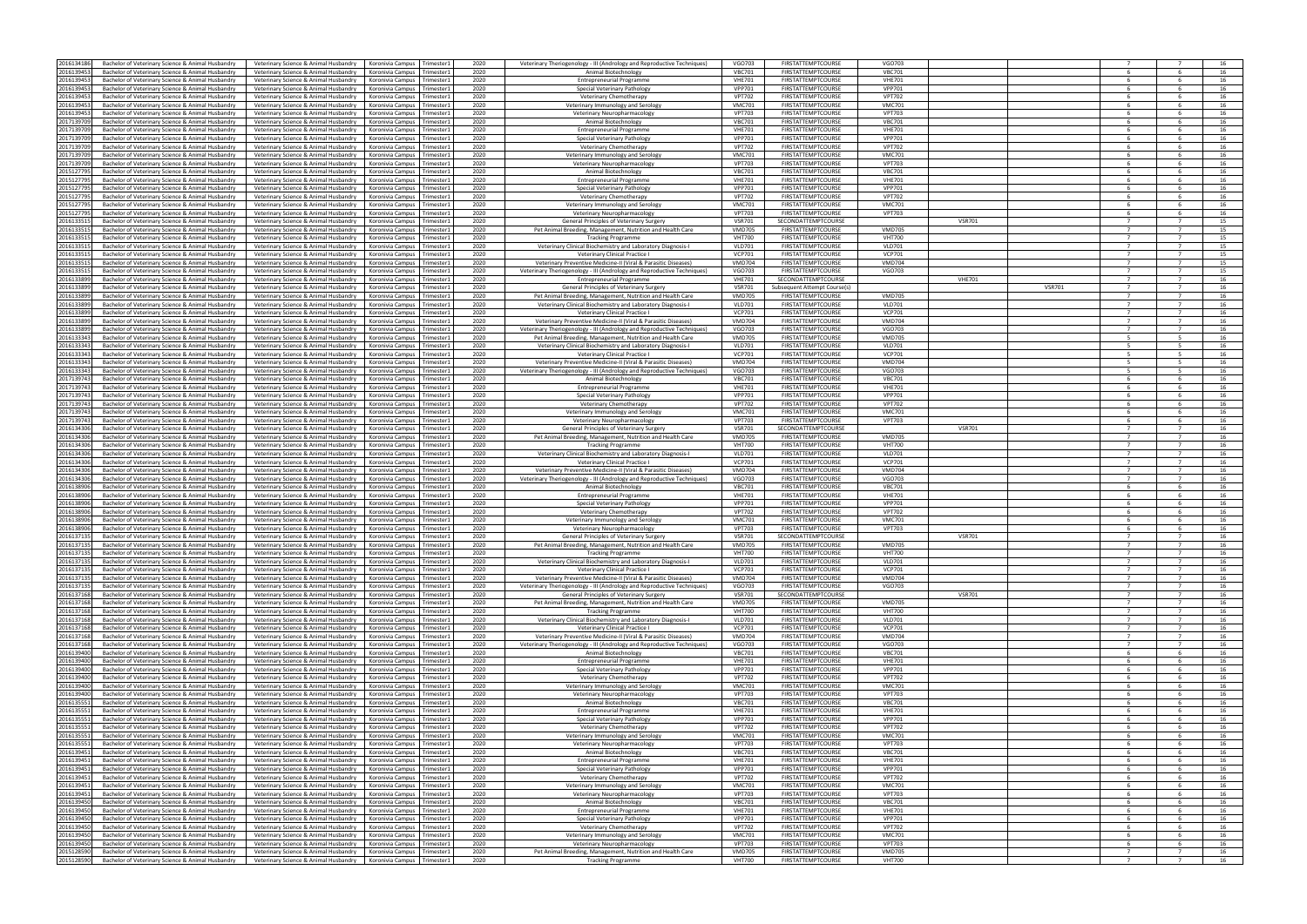| 2016134186 | Bachelor of Veterinary Science & Animal Husbandry | Veterinary Science & Animal Husbandry | Koronivia Campus Trimester1   |            | 2020 |                                                                                                 | <b>VGO703</b> | <b>FIRSTATTEMPTCOURSE</b>    | <b>VGO703</b> |               |               |                |                |    |
|------------|---------------------------------------------------|---------------------------------------|-------------------------------|------------|------|-------------------------------------------------------------------------------------------------|---------------|------------------------------|---------------|---------------|---------------|----------------|----------------|----|
|            |                                                   |                                       |                               |            |      | Veterinary Theriogenology - III (Andrology and Reproductive Techniques)                         |               |                              |               |               |               |                |                |    |
| 2016139453 | Bachelor of Veterinary Science & Animal Husbandry | Veterinary Science & Animal Husbandry | Koronivia Campus Trimester1   |            | 2020 | Animal Biotechnology                                                                            | <b>VBC701</b> | <b>FIRSTATTEMPTCOURSE</b>    | <b>VBC701</b> |               |               |                |                | 16 |
| 201613945  | Bachelor of Veterinary Science & Animal Husbandry | Veterinary Science & Animal Husbandry | Koronivia Campus              | Trimester: | 2020 | <b>Entrepreneurial Programme</b>                                                                | <b>VHE701</b> | <b>FIRSTATTEMPTCOURSE</b>    | <b>VHE701</b> |               |               |                |                | 16 |
| 201613945  | Bachelor of Veterinary Science & Animal Husbandry | Veterinary Science & Animal Husbandry | Koronivia Campus   Trimester1 |            | 2020 | Special Veterinary Pathology                                                                    | <b>VPP701</b> | <b>FIRSTATTEMPTCOURSE</b>    | <b>VPP701</b> |               |               |                |                | 16 |
| 201613945  | Bachelor of Veterinary Science & Animal Husbandry | Veterinary Science & Animal Husbandry | Koronivia Campus              | Trimester: | 2020 | Veterinary Chemotherapy                                                                         | <b>VPT702</b> | <b>FIRSTATTEMPTCOURSE</b>    | <b>VPT702</b> |               |               |                |                | 16 |
| 201613945  | Bachelor of Veterinary Science & Animal Husbandry | Veterinary Science & Animal Husbandry | Koronivia Campus              | Trimester1 | 2020 | Veterinary Immunology and Serology                                                              | <b>VMC701</b> | <b>FIRSTATTEMPTCOURSE</b>    | <b>VMC701</b> |               |               |                |                | 16 |
| 201613945  | Bachelor of Veterinary Science & Animal Husbandry | Veterinary Science & Animal Husbandry | Koronivia Campus              | Trimester: | 2020 | Veterinary Neuropharmacology                                                                    | <b>VPT703</b> | <b>FIRSTATTEMPTCOURSE</b>    | <b>VPT703</b> |               |               |                |                | 16 |
| 201713970  | Bachelor of Veterinary Science & Animal Husbandry | Veterinary Science & Animal Husbandry | Koronivia Campus              | Trimester1 | 2020 | Animal Biotechnology                                                                            | <b>VBC701</b> | <b>FIRSTATTEMPTCOURSE</b>    | <b>VBC701</b> |               |               |                |                | 16 |
| 201713970  | Bachelor of Veterinary Science & Animal Husbandry | Veterinary Science & Animal Husbandry | Koronivia Campus              | Trimester: | 2020 | <b>Entrepreneurial Programme</b>                                                                | <b>VHE701</b> | <b>FIRSTATTEMPTCOURSE</b>    | <b>VHE701</b> |               |               |                |                | 16 |
| 201713970  | Bachelor of Veterinary Science & Animal Husbandry | Veterinary Science & Animal Husbandry | Koronivia Campus              | Trimester1 | 2020 | Special Veterinary Pathology                                                                    | <b>VPP701</b> | <b>FIRSTATTEMPTCOURSE</b>    | <b>VPP701</b> |               |               |                |                | 16 |
|            |                                                   |                                       |                               |            |      |                                                                                                 |               |                              |               |               |               |                |                |    |
| 201713970  | Bachelor of Veterinary Science & Animal Husbandry | Veterinary Science & Animal Husbandry | Koronivia Campus              | Trimester: | 2020 | Veterinary Chemotherapy                                                                         | <b>VPT702</b> | <b>FIRSTATTEMPTCOURSE</b>    | <b>VPT702</b> |               |               |                |                | 16 |
| 201713970  | Bachelor of Veterinary Science & Animal Husbandry | Veterinary Science & Animal Husbandry | Koronivia Campus              | Trimester: | 2020 | Veterinary Immunology and Serolog                                                               | <b>VMC701</b> | <b>FIRSTATTEMPTCOURSE</b>    | <b>VMC701</b> |               |               |                |                | 16 |
| 201713970  | Bachelor of Veterinary Science & Animal Husbandry | Veterinary Science & Animal Husbandry | Koronivia Campus              | Trimester: | 2020 | Veterinary Neuropharmacology                                                                    | <b>VPT703</b> | <b>FIRSTATTEMPTCOURSE</b>    | <b>VPT703</b> |               |               |                |                | 16 |
| 201512779  | Bachelor of Veterinary Science & Animal Husbandry | Veterinary Science & Animal Husbandry | Koronivia Campus              | Trimester1 | 2020 | Animal Biotechnology                                                                            | <b>VBC701</b> | <b>FIRSTATTEMPTCOURSE</b>    | <b>VBC701</b> |               |               |                |                | 16 |
| 201512779  | Bachelor of Veterinary Science & Animal Husbandry | Veterinary Science & Animal Husbandry | Koronivia Campus              | Trimester: | 2020 | <b>Entrepreneurial Programme</b>                                                                | <b>VHE701</b> | <b>FIRSTATTEMPTCOURSE</b>    | <b>VHE701</b> |               |               |                |                | 16 |
| 201512779  | Bachelor of Veterinary Science & Animal Husbandry | Veterinary Science & Animal Husbandry | Koronivia Campus              | Trimester: | 2020 | Special Veterinary Pathology                                                                    | <b>VPP701</b> | <b>FIRSTATTEMPTCOURSE</b>    | <b>VPP701</b> |               |               |                |                | 16 |
| 201512779  | Bachelor of Veterinary Science & Animal Husbandry | Veterinary Science & Animal Husbandry | Koronivia Campus              | Trimester  | 2020 | Veterinary Chemotherapy                                                                         | <b>VPT702</b> | <b>FIRSTATTEMPTCOURSE</b>    | <b>VPT702</b> |               |               |                |                | 16 |
| 201512779  | Bachelor of Veterinary Science & Animal Husbandry | Veterinary Science & Animal Husbandry | Koronivia Campus              | Trimester: | 2020 | Veterinary Immunology and Serology                                                              | <b>VMC701</b> | <b>FIRSTATTEMPTCOURSE</b>    | <b>VMC701</b> |               |               |                | -6             | 16 |
| 201512779  | Bachelor of Veterinary Science & Animal Husbandry | Veterinary Science & Animal Husbandry | Koronivia Campus Trimester1   |            | 2020 | Veterinary Neuropharmacology                                                                    | <b>VPT703</b> | <b>FIRSTATTEMPTCOURSE</b>    | <b>VPT703</b> |               |               |                |                | 16 |
|            |                                                   |                                       |                               |            |      |                                                                                                 |               |                              |               |               |               | $\overline{7}$ | $\overline{7}$ |    |
| 201613351  | Bachelor of Veterinary Science & Animal Husbandry | Veterinary Science & Animal Husbandry | Koronivia Campus              | Trimester: | 2020 | General Principles of Veterinary Surger                                                         | <b>VSR701</b> | SECONDATTEMPTCOURSE          |               | <b>VSR701</b> |               |                |                | 15 |
| 201613351  | Bachelor of Veterinary Science & Animal Husbandry | Veterinary Science & Animal Husbandry | Koronivia Campus Trimester1   |            | 2020 | Pet Animal Breeding, Management, Nutrition and Health Care                                      | <b>VMD705</b> | <b>FIRSTATTEMPTCOURSE</b>    | <b>VMD705</b> |               |               |                |                | 15 |
| 201613351  | Bachelor of Veterinary Science & Animal Husbandry | Veterinary Science & Animal Husbandry | Koronivia Campus Trimester:   |            | 2020 | <b>Tracking Programme</b>                                                                       | <b>VHT700</b> | <b>FIRSTATTEMPTCOURSE</b>    | <b>VHT700</b> |               |               | $\overline{7}$ | $\overline{7}$ | 15 |
| 201613351  | Bachelor of Veterinary Science & Animal Husbandry | Veterinary Science & Animal Husbandry | Koronivia Campus              | Trimester1 | 2020 | Veterinary Clinical Biochemistry and Laboratory Diagnosis-I                                     | <b>VLD701</b> | <b>FIRSTATTEMPTCOURSE</b>    | <b>VLD701</b> |               |               |                |                | 15 |
| 201613351  | Bachelor of Veterinary Science & Animal Husbandry | Veterinary Science & Animal Husbandry | Koronivia Campus              | Trimester: | 2020 | Veterinary Clinical Practice                                                                    | <b>VCP701</b> | <b>FIRSTATTEMPTCOURSE</b>    | <b>VCP701</b> |               |               |                |                | 15 |
| 201613351  | Bachelor of Veterinary Science & Animal Husbandry | Veterinary Science & Animal Husbandry | Koronivia Campus Trimester1   |            | 2020 | Veterinary Preventive Medicine-II (Viral & Parasitic Diseases)                                  | <b>VMD704</b> | FIRSTATTEMPTCOURSE           | <b>VMD704</b> |               |               |                |                | 15 |
| 201613351  | Bachelor of Veterinary Science & Animal Husbandry | Veterinary Science & Animal Husbandry | Koronivia Campus              | Trimester: | 2020 | Veterinary Theriogenology - III (Andrology and Reproductive Techniques)                         | <b>VGO703</b> | <b>FIRSTATTEMPTCOURSE</b>    | VGO703        |               |               | $\overline{7}$ | $\overline{7}$ | 15 |
| 201613389  | Bachelor of Veterinary Science & Animal Husbandry | Veterinary Science & Animal Husbandry | Koronivia Campus              | Trimester1 | 2020 | <b>Entrepreneurial Programme</b>                                                                | <b>VHE701</b> | SECONDATTEMPTCOURSE          |               | <b>VHE701</b> |               |                |                | 16 |
| 201613389  | Bachelor of Veterinary Science & Animal Husbandry | Veterinary Science & Animal Husbandry | Koronivia Campus              | Trimester: | 2020 | General Principles of Veterinary Surgery                                                        | <b>VSR701</b> | Subsequent Attempt Course(s) |               |               | <b>VSR701</b> | $\overline{7}$ | $\overline{7}$ | 16 |
| 201613389  | Bachelor of Veterinary Science & Animal Husbandry | Veterinary Science & Animal Husbandry | Koronivia Campus              | Trimester1 | 2020 | Pet Animal Breeding, Management, Nutrition and Health Care                                      | <b>VMD705</b> | <b>FIRSTATTEMPTCOURSE</b>    | <b>VMD705</b> |               |               |                |                | 16 |
| 201613389  | Bachelor of Veterinary Science & Animal Husbandry | Veterinary Science & Animal Husbandry | Koronivia Campus              | Trimester: | 2020 | Veterinary Clinical Biochemistry and Laboratory Diagnosis-I                                     | <b>VLD701</b> | <b>FIRSTATTEMPTCOURSE</b>    | <b>VLD701</b> |               |               |                |                | 16 |
| 201613389  | Bachelor of Veterinary Science & Animal Husbandry | Veterinary Science & Animal Husbandry | Koronivia Campus Trimester1   |            | 2020 | Veterinary Clinical Practice I                                                                  | <b>VCP701</b> | <b>FIRSTATTEMPTCOURSE</b>    | <b>VCP701</b> |               |               |                |                | 16 |
| 201613389  | Bachelor of Veterinary Science & Animal Husbandry | Veterinary Science & Animal Husbandry | Koronivia Campus              | Trimester  | 2020 | Veterinary Preventive Medicine-II (Viral & Parasitic Diseases)                                  | <b>VMD704</b> | <b>FIRSTATTEMPTCOURSE</b>    | <b>VMD704</b> |               |               |                |                | 16 |
|            | Bachelor of Veterinary Science & Animal Husbandry |                                       |                               |            |      |                                                                                                 |               |                              |               |               |               |                |                |    |
| 201613389  |                                                   | Veterinary Science & Animal Husbandry | Koronivia Campus              | Trimester1 | 2020 | Veterinary Theriogenology - III (Andrology and Reproductive Techniques)                         | <b>VGO703</b> | <b>FIRSTATTEMPTCOURSE</b>    | <b>VGO703</b> |               |               |                |                | 16 |
| 201613334  | Bachelor of Veterinary Science & Animal Husbandry | Veterinary Science & Animal Husbandry | Koronivia Campus              | Trimester: | 2020 | Pet Animal Breeding, Management, Nutrition and Health Care                                      | <b>VMD705</b> | <b>FIRSTATTEMPTCOURSE</b>    | <b>VMD705</b> |               |               |                |                | 16 |
| 201613334  | Bachelor of Veterinary Science & Animal Husbandry | Veterinary Science & Animal Husbandry | Koronivia Campus              | Trimester: | 2020 | Veterinary Clinical Biochemistry and Laboratory Diagnosis-I                                     | <b>VLD701</b> | <b>FIRSTATTEMPTCOURSE</b>    | <b>VLD701</b> |               |               |                |                | 16 |
| 201613334  | Bachelor of Veterinary Science & Animal Husbandry | Veterinary Science & Animal Husbandry | Koronivia Campus              | Trimester: | 2020 | Veterinary Clinical Practice I                                                                  | <b>VCP701</b> | <b>FIRSTATTEMPTCOURSE</b>    | <b>VCP701</b> |               |               |                |                | 16 |
| 201613334  | Bachelor of Veterinary Science & Animal Husbandry | Veterinary Science & Animal Husbandry | Koronivia Campus              | Trimester1 | 2020 | Veterinary Preventive Medicine-II (Viral & Parasitic Diseases)                                  | <b>VMD704</b> | <b>FIRSTATTEMPTCOURSE</b>    | <b>VMD704</b> |               |               | $-5$           |                | 16 |
| 201613334  | Bachelor of Veterinary Science & Animal Husbandry | Veterinary Science & Animal Husbandry | Koronivia Campus              | Trimester: | 2020 | Veterinary Theriogenology - III (Andrology and Reproductive Techniques)                         | <b>VGO703</b> | <b>FIRSTATTEMPTCOURSE</b>    | VGO703        |               |               |                |                | 16 |
| 201713974  | Bachelor of Veterinary Science & Animal Husbandry | Veterinary Science & Animal Husbandry | Koronivia Campus              | Trimester: | 2020 | Animal Biotechnology                                                                            | <b>VBC701</b> | <b>FIRSTATTEMPTCOURSE</b>    | <b>VBC701</b> |               |               |                |                | 16 |
| 201713974  | Bachelor of Veterinary Science & Animal Husbandry | Veterinary Science & Animal Husbandry | Koronivia Campus Trimester1   |            | 2020 | <b>Entrepreneurial Programme</b>                                                                | <b>VHE701</b> | <b>FIRSTATTEMPTCOURSE</b>    | <b>VHE701</b> |               |               |                |                | 16 |
| 201713974  | Bachelor of Veterinary Science & Animal Husbandry | Veterinary Science & Animal Husbandry | Koronivia Campus              | Trimester: | 2020 | Special Veterinary Pathology                                                                    | <b>VPP701</b> | <b>FIRSTATTEMPTCOURSE</b>    | <b>VPP701</b> |               |               | - 6            | - 6            | 16 |
| 201713974  | Bachelor of Veterinary Science & Animal Husbandry | Veterinary Science & Animal Husbandry | Koronivia Campus              | Trimester: | 2020 | Veterinary Chemotherapy                                                                         | <b>VPT702</b> | <b>FIRSTATTEMPTCOURSE</b>    | <b>VPT702</b> |               |               |                | -6             | 16 |
| 201713974  | Bachelor of Veterinary Science & Animal Husbandry | Veterinary Science & Animal Husbandry | Koronivia Campus              | Trimester1 | 2020 | Veterinary Immunology and Serology                                                              | <b>VMC701</b> | <b>FIRSTATTEMPTCOURSE</b>    | <b>VMC701</b> |               |               |                | -6             | 16 |
| 201713974  | Bachelor of Veterinary Science & Animal Husbandry | Veterinary Science & Animal Husbandry | Koronivia Campus Trimester1   |            | 2020 |                                                                                                 | <b>VPT703</b> | <b>FIRSTATTEMPTCOURSE</b>    | <b>VPT703</b> |               |               |                |                | 16 |
|            |                                                   |                                       |                               |            |      | Veterinary Neuropharmacology                                                                    |               |                              |               |               |               |                |                |    |
| 201613430  | Bachelor of Veterinary Science & Animal Husbandry | Veterinary Science & Animal Husbandry | Koronivia Campus              | Trimester1 | 2020 | General Principles of Veterinary Surgery                                                        | <b>VSR701</b> | SECONDATTEMPTCOURSE          |               | <b>VSR701</b> |               | $\overline{7}$ | $\overline{7}$ | 16 |
| 201613430  | Bachelor of Veterinary Science & Animal Husbandry | Veterinary Science & Animal Husbandry | Koronivia Campus              | Trimester  | 2020 | Pet Animal Breeding, Management, Nutrition and Health Care                                      | <b>VMD705</b> | <b>FIRSTATTEMPTCOURSE</b>    | <b>VMD705</b> |               |               |                |                | 16 |
| 201613430  | Bachelor of Veterinary Science & Animal Husbandry | Veterinary Science & Animal Husbandry | Koronivia Campus              | Trimester: | 2020 | <b>Tracking Programme</b>                                                                       | <b>VHT700</b> | <b>FIRSTATTEMPTCOURSE</b>    | <b>VHT700</b> |               |               | $\overline{7}$ | $\overline{7}$ | 16 |
| 201613430  | Bachelor of Veterinary Science & Animal Husbandry | Veterinary Science & Animal Husbandry | Koronivia Campus              | Trimester1 | 2020 | Veterinary Clinical Biochemistry and Laboratory Diagnosis-I                                     | <b>VLD701</b> | <b>FIRSTATTEMPTCOURSE</b>    | <b>VLD701</b> |               |               |                |                | 16 |
| 201613430  | Bachelor of Veterinary Science & Animal Husbandry | Veterinary Science & Animal Husbandry | Koronivia Campus              | Trimester: | 2020 | Veterinary Clinical Practice                                                                    | <b>VCP701</b> | <b>FIRSTATTEMPTCOURSE</b>    | <b>VCP701</b> |               |               | $\overline{7}$ | $\overline{7}$ | 16 |
| 201613430  | Bachelor of Veterinary Science & Animal Husbandry | Veterinary Science & Animal Husbandry | Koronivia Campus              | Trimester1 | 2020 | Veterinary Preventive Medicine-II (Viral & Parasitic Diseases)                                  | <b>VMD704</b> | <b>FIRSTATTEMPTCOURSE</b>    | <b>VMD704</b> |               |               |                |                | 16 |
| 201613430  | Bachelor of Veterinary Science & Animal Husbandry | Veterinary Science & Animal Husbandry | Koronivia Campus              | Trimester1 | 2020 | Veterinary Theriogenology - III (Andrology and Reproductive Techniques)                         | <b>VGO703</b> | <b>FIRSTATTEMPTCOURSE</b>    | VGO703        |               |               |                |                | 16 |
| 201613890  | Bachelor of Veterinary Science & Animal Husbandry | Veterinary Science & Animal Husbandry | Koronivia Campus              | Trimester1 | 2020 | Animal Biotechnology                                                                            | <b>VBC701</b> | <b>FIRSTATTEMPTCOURSE</b>    | <b>VBC701</b> |               |               | -6             | -6             | 16 |
| 201613890  | Bachelor of Veterinary Science & Animal Husbandry | Veterinary Science & Animal Husbandry | Koronivia Campus              | Trimester: | 2020 | <b>Entrepreneurial Programme</b>                                                                | <b>VHE701</b> | <b>FIRSTATTEMPTCOURSE</b>    | <b>VHE701</b> |               |               |                |                | 16 |
| 201613890  | Bachelor of Veterinary Science & Animal Husbandry | Veterinary Science & Animal Husbandry | Koronivia Campus              | Trimester: | 2020 | Special Veterinary Pathology                                                                    | <b>VPP701</b> | <b>FIRSTATTEMPTCOURSE</b>    | <b>VPP701</b> |               |               |                |                | 16 |
|            |                                                   |                                       |                               |            |      |                                                                                                 | <b>VPT702</b> |                              |               |               |               |                |                | 16 |
| 201613890  | Bachelor of Veterinary Science & Animal Husbandry | Veterinary Science & Animal Husbandry | Koronivia Campus              | Trimester: | 2020 | <b>Veterinary Chemotherapy</b>                                                                  |               | <b>FIRSTATTEMPTCOURSE</b>    | <b>VPT702</b> |               |               |                |                |    |
| 201613890  | Bachelor of Veterinary Science & Animal Husbandry | Veterinary Science & Animal Husbandry | Koronivia Campus              | Trimester1 | 2020 | Veterinary Immunology and Serolog                                                               | <b>VMC701</b> | <b>FIRSTATTEMPTCOURSE</b>    | <b>VMC701</b> |               |               |                |                | 16 |
| 201613890  | Bachelor of Veterinary Science & Animal Husbandry | Veterinary Science & Animal Husbandry | Koronivia Campus              | Trimester: | 2020 | Veterinary Neuropharmacology                                                                    | <b>VPT703</b> | <b>FIRSTATTEMPTCOURSE</b>    | <b>VPT703</b> |               |               |                |                | 16 |
| 201613713  | Bachelor of Veterinary Science & Animal Husbandry | Veterinary Science & Animal Husbandry | Koronivia Campus              | Trimester  | 2020 | General Principles of Veterinary Surgery                                                        | <b>VSR701</b> | SECONDATTEMPTCOURSE          |               | <b>VSR701</b> |               |                |                | 16 |
| 201613713  | Bachelor of Veterinary Science & Animal Husbandry | Veterinary Science & Animal Husbandry | Koronivia Campus Trimester1   |            | 2020 | Pet Animal Breeding, Management, Nutrition and Health Care                                      | <b>VMD705</b> | <b>FIRSTATTEMPTCOURSE</b>    | <b>VMD705</b> |               |               |                |                | 16 |
| 201613713  | Bachelor of Veterinary Science & Animal Husbandry | Veterinary Science & Animal Husbandry | Koronivia Campus              | Trimester1 | 2020 | <b>Tracking Programme</b>                                                                       | <b>VHT700</b> | <b>FIRSTATTEMPTCOURSE</b>    | <b>VHT700</b> |               |               | 7              |                | 16 |
| 201613713  | Bachelor of Veterinary Science & Animal Husbandry | Veterinary Science & Animal Husbandry | Koronivia Campus Trimester    |            | 2020 | Veterinary Clinical Biochemistry and Laboratory Diagnosis-I                                     | <b>VLD701</b> | <b>FIRSTATTEMPTCOURSE</b>    | <b>VLD701</b> |               |               | $\overline{7}$ |                | 16 |
| 201613713  | Bachelor of Veterinary Science & Animal Husbandry | Veterinary Science & Animal Husbandry | Koronivia Campus              | Trimester1 | 2020 | Veterinary Clinical Practice I                                                                  | <b>VCP701</b> | <b>FIRSTATTEMPTCOURSE</b>    | <b>VCP701</b> |               |               | $\overline{7}$ | $\overline{7}$ | 16 |
| 201613713  | Bachelor of Veterinary Science & Animal Husbandry | Veterinary Science & Animal Husbandry | Koronivia Campus Trimester1   |            | 2020 | Veterinary Preventive Medicine-II (Viral & Parasitic Diseases)                                  | <b>VMD704</b> | <b>FIRSTATTEMPTCOURSE</b>    | <b>VMD704</b> |               |               |                |                | 16 |
| 201613713  | Bachelor of Veterinary Science & Animal Husbandry | Veterinary Science & Animal Husbandry | Koronivia Campus              | Trimester1 | 2020 | Veterinary Theriogenology - III (Andrology and Reproductive Techniques)                         | <b>VGO703</b> | <b>FIRSTATTEMPTCOURSE</b>    | <b>VGO703</b> |               |               | $\overline{7}$ | $\overline{7}$ | 16 |
| 201613716  | Bachelor of Veterinary Science & Animal Husbandry | Veterinary Science & Animal Husbandry | Koronivia Campus              | Trimester1 | 2020 | General Principles of Veterinary Surgery                                                        | <b>VSR701</b> | SECONDATTEMPTCOURSE          |               | <b>VSR701</b> |               |                | $\overline{7}$ | 16 |
| 201613716  | Bachelor of Veterinary Science & Animal Husbandry | Veterinary Science & Animal Husbandry | Koronivia Campus              | Trimester1 | 2020 | Pet Animal Breeding, Management, Nutrition and Health Care                                      | <b>VMD705</b> | <b>FIRSTATTEMPTCOURSE</b>    | <b>VMD705</b> |               |               | $\overline{7}$ | $\overline{7}$ | 16 |
| 2016137168 | Bachelor of Veterinary Science & Animal Husbandry | Veterinary Science & Animal Husbandry | Koronivia Campus Trimester1   |            | 2020 | <b>Tracking Programme</b>                                                                       | <b>VHT700</b> | <b>FIRSTATTEMPTCOURSE</b>    | <b>VHT700</b> |               |               | $\overline{7}$ |                | 16 |
| 201613716  | Bachelor of Veterinary Science & Animal Husbandry | Veterinary Science & Animal Husbandry | Koronivia Campus              | Trimester1 | 2020 | Veterinary Clinical Biochemistry and Laboratory Diagnosis-I                                     | <b>VLD701</b> | <b>FIRSTATTEMPTCOURSE</b>    | <b>VLD701</b> |               |               | $\overline{7}$ | $\overline{7}$ | 16 |
| 201613716  | Bachelor of Veterinary Science & Animal Husbandry | Veterinary Science & Animal Husbandry | Koronivia Campus Trimester1   |            | 2020 | Veterinary Clinical Practice I                                                                  | <b>VCP701</b> | <b>FIRSTATTEMPTCOURSE</b>    | <b>VCP701</b> |               |               | $\overline{7}$ | $\overline{7}$ | 16 |
| 201613716  | Bachelor of Veterinary Science & Animal Husbandry | Veterinary Science & Animal Husbandry | Koronivia Campus              | Trimester1 | 2020 | Veterinary Preventive Medicine-II (Viral & Parasitic Diseases)                                  | <b>VMD704</b> | <b>FIRSTATTEMPTCOURSE</b>    | <b>VMD704</b> |               |               | $\overline{7}$ | 7              | 16 |
| 201613716  | Bachelor of Veterinary Science & Animal Husbandry | Veterinary Science & Animal Husbandry | Koronivia Campus              | Trimester1 | 2020 |                                                                                                 | <b>VGO703</b> | <b>FIRSTATTEMPTCOURSE</b>    | <b>VGO703</b> |               |               |                |                | 16 |
|            |                                                   |                                       |                               |            |      | Veterinary Theriogenology - III (Andrology and Reproductive Techniques)<br>Animal Biotechnology |               |                              |               |               |               | -6             | - 6            |    |
| 201613940  | Bachelor of Veterinary Science & Animal Husbandry | Veterinary Science & Animal Husbandry | Koronivia Campus              | Trimester1 | 2020 |                                                                                                 | <b>VBC701</b> | <b>FIRSTATTEMPTCOURSE</b>    | <b>VBC701</b> |               |               |                |                | 16 |
| 2016139400 | Bachelor of Veterinary Science & Animal Husbandry | Veterinary Science & Animal Husbandry | Koronivia Campus Trimester1   |            | 2020 | <b>Entrepreneurial Programme</b>                                                                | <b>VHE701</b> | <b>FIRSTATTEMPTCOURSE</b>    | <b>VHE701</b> |               |               | -6             | 6              | 16 |
| 201613940  | Bachelor of Veterinary Science & Animal Husbandry | Veterinary Science & Animal Husbandry | Koronivia Campus              | Trimester1 | 2020 | Special Veterinary Pathology                                                                    | <b>VPP701</b> | <b>FIRSTATTEMPTCOURSE</b>    | <b>VPP701</b> |               |               |                |                | 16 |
| 2016139400 | Bachelor of Veterinary Science & Animal Husbandry | Veterinary Science & Animal Husbandry | Koronivia Campus Trimester1   |            | 2020 | Veterinary Chemotherapy                                                                         | <b>VPT702</b> | <b>FIRSTATTEMPTCOURSE</b>    | <b>VPT702</b> |               |               | - 6            | -6             | 16 |
| 2016139400 | Bachelor of Veterinary Science & Animal Husbandry | Veterinary Science & Animal Husbandry | Koronivia Campus              | Trimester1 | 2020 | Veterinary Immunology and Serology                                                              | <b>VMC701</b> | <b>FIRSTATTEMPTCOURSE</b>    | <b>VMC701</b> |               |               | - 6            | -6             | 16 |
| 2016139400 | Bachelor of Veterinary Science & Animal Husbandry | Veterinary Science & Animal Husbandry | Koronivia Campus              | Trimester1 | 2020 | Veterinary Neuropharmacology                                                                    | <b>VPT703</b> | <b>FIRSTATTEMPTCOURSE</b>    | <b>VPT703</b> |               |               |                | 6              | 16 |
| 201613555  | Bachelor of Veterinary Science & Animal Husbandry | Veterinary Science & Animal Husbandry | Koronivia Campus              | Trimester1 | 2020 | Animal Biotechnology                                                                            | <b>VBC701</b> | <b>FIRSTATTEMPTCOURSE</b>    | <b>VBC701</b> |               |               |                |                | 16 |
| 201613555  | Bachelor of Veterinary Science & Animal Husbandry | Veterinary Science & Animal Husbandry | Koronivia Campus Trimester1   |            | 2020 | <b>Entrepreneurial Programme</b>                                                                | <b>VHE701</b> | <b>FIRSTATTEMPTCOURSE</b>    | <b>VHE701</b> |               |               | - 6            | -6             | 16 |
| 201613555  | Bachelor of Veterinary Science & Animal Husbandry | Veterinary Science & Animal Husbandry | Koronivia Campus              | Trimester: | 2020 | Special Veterinary Pathology                                                                    | <b>VPP701</b> | <b>FIRSTATTEMPTCOURSE</b>    | <b>VPP701</b> |               |               |                |                | 16 |
| 201613555  | Bachelor of Veterinary Science & Animal Husbandry | Veterinary Science & Animal Husbandry | Koronivia Campus              | Trimester1 | 2020 | Veterinary Chemotherapy                                                                         | <b>VPT702</b> | <b>FIRSTATTEMPTCOURSE</b>    | <b>VPT702</b> |               |               | - 6            | -6             | 16 |
| 201613555  | Bachelor of Veterinary Science & Animal Husbandry | Veterinary Science & Animal Husbandry | Koronivia Campus              | Trimester1 | 2020 | Veterinary Immunology and Serology                                                              | <b>VMC701</b> | <b>FIRSTATTEMPTCOURSE</b>    | <b>VMC701</b> |               |               |                |                | 16 |
| 201613555  | Bachelor of Veterinary Science & Animal Husbandry | Veterinary Science & Animal Husbandry | Koronivia Campus              | Trimester1 | 2020 | Veterinary Neuropharmacology                                                                    | <b>VPT703</b> | <b>FIRSTATTEMPTCOURSE</b>    | <b>VPT703</b> |               |               | - 6            | -6             | 16 |
| 201613945  | Bachelor of Veterinary Science & Animal Husbandry | Veterinary Science & Animal Husbandry | Koronivia Campus              | Trimester1 | 2020 | Animal Biotechnology                                                                            | <b>VBC701</b> | <b>FIRSTATTEMPTCOURSE</b>    | <b>VBC701</b> |               |               |                |                | 16 |
| 201613945  | Bachelor of Veterinary Science & Animal Husbandry | Veterinary Science & Animal Husbandry | Koronivia Campus              | Trimester1 | 2020 | <b>Entrepreneurial Programme</b>                                                                | <b>VHE701</b> | <b>FIRSTATTEMPTCOURSE</b>    | <b>VHE701</b> |               |               | - 6            | -6             | 16 |
| 201613945  |                                                   |                                       |                               |            | 2020 |                                                                                                 | <b>VPP701</b> |                              |               |               |               |                |                | 16 |
|            | Bachelor of Veterinary Science & Animal Husbandry | Veterinary Science & Animal Husbandry | Koronivia Campus              | Trimester1 |      | Special Veterinary Pathology                                                                    |               | <b>FIRSTATTEMPTCOURSE</b>    | <b>VPP701</b> |               |               |                |                |    |
| 201613945  | Bachelor of Veterinary Science & Animal Husbandry | Veterinary Science & Animal Husbandry | Koronivia Campus Trimester1   |            | 2020 | Veterinary Chemotherapy                                                                         | <b>VPT702</b> | <b>FIRSTATTEMPTCOURSE</b>    | <b>VPT702</b> |               |               | - 6            | - 6            | 16 |
| 201613945  | Bachelor of Veterinary Science & Animal Husbandry | Veterinary Science & Animal Husbandry | Koronivia Campus              | Trimester1 | 2020 | Veterinary Immunology and Serology                                                              | <b>VMC701</b> | <b>FIRSTATTEMPTCOURSE</b>    | <b>VMC701</b> |               |               | - 6            | -6             | 16 |
| 201613945  | Bachelor of Veterinary Science & Animal Husbandry | Veterinary Science & Animal Husbandry | Koronivia Campus              | Trimester1 | 2020 | Veterinary Neuropharmacology                                                                    | <b>VPT703</b> | <b>FIRSTATTEMPTCOURSE</b>    | <b>VPT703</b> |               |               | - 6            | 6              | 16 |
| 201613945  | Bachelor of Veterinary Science & Animal Husbandry | Veterinary Science & Animal Husbandry | Koronivia Campus Trimester:   |            | 2020 | Animal Biotechnology                                                                            | <b>VBC701</b> | <b>FIRSTATTEMPTCOURSE</b>    | <b>VBC701</b> |               |               | - 6            | -6             | 16 |
| 201613945  | Bachelor of Veterinary Science & Animal Husbandry | Veterinary Science & Animal Husbandry | Koronivia Campus Trimester1   |            | 2020 | <b>Entrepreneurial Programme</b>                                                                | <b>VHE701</b> | <b>FIRSTATTEMPTCOURSE</b>    | <b>VHE701</b> |               |               | - 6            | - 6            | 16 |
| 201613945  | Bachelor of Veterinary Science & Animal Husbandry | Veterinary Science & Animal Husbandry | Koronivia Campus Trimester1   |            | 2020 | Special Veterinary Pathology                                                                    | <b>VPP701</b> | <b>FIRSTATTEMPTCOURSE</b>    | <b>VPP701</b> |               |               |                | -6             | 16 |
| 201613945  | Bachelor of Veterinary Science & Animal Husbandry | Veterinary Science & Animal Husbandry | Koronivia Campus              | Trimester1 | 2020 | Veterinary Chemotherapy                                                                         | <b>VPT702</b> | FIRSTATTEMPTCOURSE           | <b>VPT702</b> |               |               | -6             | 6              | 16 |
| 201613945  | Bachelor of Veterinary Science & Animal Husbandry | Veterinary Science & Animal Husbandry | Koronivia Campus              | Trimester1 | 2020 | Veterinary Immunology and Serology                                                              | <b>VMC701</b> | <b>FIRSTATTEMPTCOURSE</b>    | <b>VMC701</b> |               |               |                | -6             | 16 |
| 201613945  | Bachelor of Veterinary Science & Animal Husbandry | Veterinary Science & Animal Husbandry | Koronivia Campus              | Trimester1 | 2020 | Veterinary Neuropharmacology                                                                    | <b>VPT703</b> | <b>FIRSTATTEMPTCOURSE</b>    | <b>VPT703</b> |               |               | - 6            | -6             | 16 |
| 2015128590 | Bachelor of Veterinary Science & Animal Husbandry | Veterinary Science & Animal Husbandry | Koronivia Campus Trimester1   |            | 2020 | Pet Animal Breeding, Management, Nutrition and Health Care                                      | <b>VMD705</b> | <b>FIRSTATTEMPTCOURSE</b>    | <b>VMD705</b> |               |               | $\overline{7}$ | $\overline{7}$ | 16 |
| 2015128590 | Bachelor of Veterinary Science & Animal Husbandry | Veterinary Science & Animal Husbandry | Koronivia Campus Trimester1   |            | 2020 | <b>Tracking Programme</b>                                                                       | <b>VHT700</b> | FIRSTATTEMPTCOURSE           | <b>VHT700</b> |               |               | $\overline{7}$ | $\overline{7}$ | 16 |
|            |                                                   |                                       |                               |            |      |                                                                                                 |               |                              |               |               |               |                |                |    |